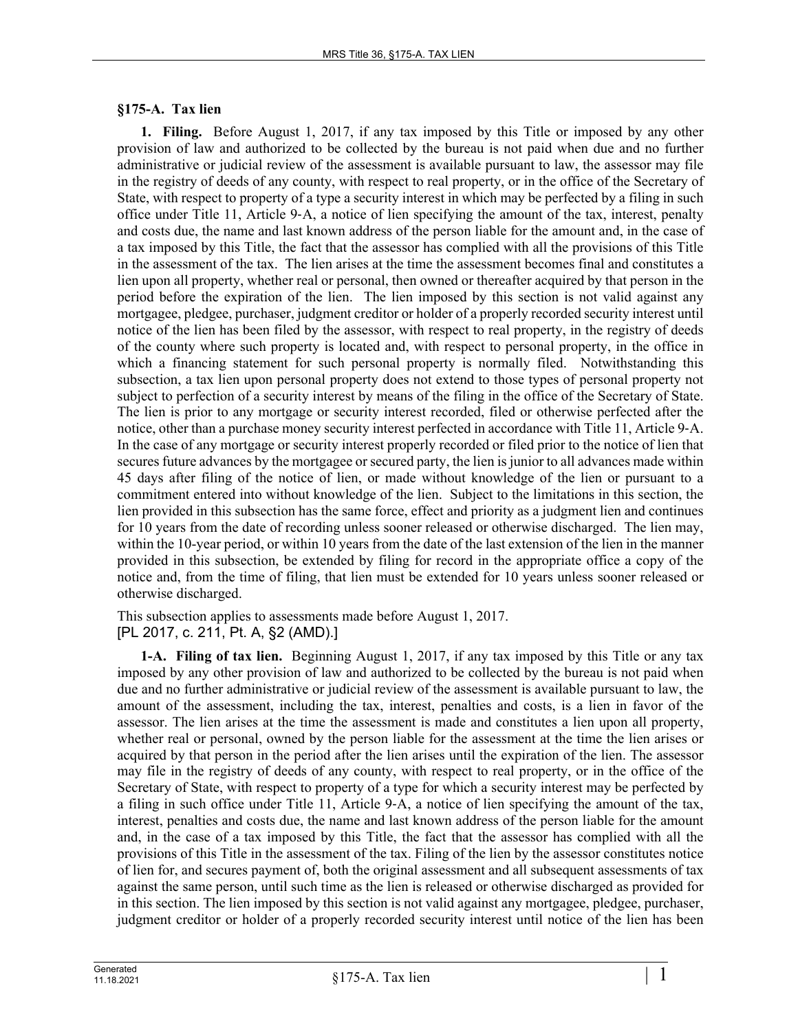## **§175-A. Tax lien**

**1. Filing.** Before August 1, 2017, if any tax imposed by this Title or imposed by any other provision of law and authorized to be collected by the bureau is not paid when due and no further administrative or judicial review of the assessment is available pursuant to law, the assessor may file in the registry of deeds of any county, with respect to real property, or in the office of the Secretary of State, with respect to property of a type a security interest in which may be perfected by a filing in such office under Title 11, Article 9‑A, a notice of lien specifying the amount of the tax, interest, penalty and costs due, the name and last known address of the person liable for the amount and, in the case of a tax imposed by this Title, the fact that the assessor has complied with all the provisions of this Title in the assessment of the tax. The lien arises at the time the assessment becomes final and constitutes a lien upon all property, whether real or personal, then owned or thereafter acquired by that person in the period before the expiration of the lien. The lien imposed by this section is not valid against any mortgagee, pledgee, purchaser, judgment creditor or holder of a properly recorded security interest until notice of the lien has been filed by the assessor, with respect to real property, in the registry of deeds of the county where such property is located and, with respect to personal property, in the office in which a financing statement for such personal property is normally filed. Notwithstanding this subsection, a tax lien upon personal property does not extend to those types of personal property not subject to perfection of a security interest by means of the filing in the office of the Secretary of State. The lien is prior to any mortgage or security interest recorded, filed or otherwise perfected after the notice, other than a purchase money security interest perfected in accordance with Title 11, Article 9-A. In the case of any mortgage or security interest properly recorded or filed prior to the notice of lien that secures future advances by the mortgagee or secured party, the lien is junior to all advances made within 45 days after filing of the notice of lien, or made without knowledge of the lien or pursuant to a commitment entered into without knowledge of the lien. Subject to the limitations in this section, the lien provided in this subsection has the same force, effect and priority as a judgment lien and continues for 10 years from the date of recording unless sooner released or otherwise discharged. The lien may, within the 10-year period, or within 10 years from the date of the last extension of the lien in the manner provided in this subsection, be extended by filing for record in the appropriate office a copy of the notice and, from the time of filing, that lien must be extended for 10 years unless sooner released or otherwise discharged.

This subsection applies to assessments made before August 1, 2017. [PL 2017, c. 211, Pt. A, §2 (AMD).]

**1-A. Filing of tax lien.** Beginning August 1, 2017, if any tax imposed by this Title or any tax imposed by any other provision of law and authorized to be collected by the bureau is not paid when due and no further administrative or judicial review of the assessment is available pursuant to law, the amount of the assessment, including the tax, interest, penalties and costs, is a lien in favor of the assessor. The lien arises at the time the assessment is made and constitutes a lien upon all property, whether real or personal, owned by the person liable for the assessment at the time the lien arises or acquired by that person in the period after the lien arises until the expiration of the lien. The assessor may file in the registry of deeds of any county, with respect to real property, or in the office of the Secretary of State, with respect to property of a type for which a security interest may be perfected by a filing in such office under Title 11, Article 9‑A, a notice of lien specifying the amount of the tax, interest, penalties and costs due, the name and last known address of the person liable for the amount and, in the case of a tax imposed by this Title, the fact that the assessor has complied with all the provisions of this Title in the assessment of the tax. Filing of the lien by the assessor constitutes notice of lien for, and secures payment of, both the original assessment and all subsequent assessments of tax against the same person, until such time as the lien is released or otherwise discharged as provided for in this section. The lien imposed by this section is not valid against any mortgagee, pledgee, purchaser, judgment creditor or holder of a properly recorded security interest until notice of the lien has been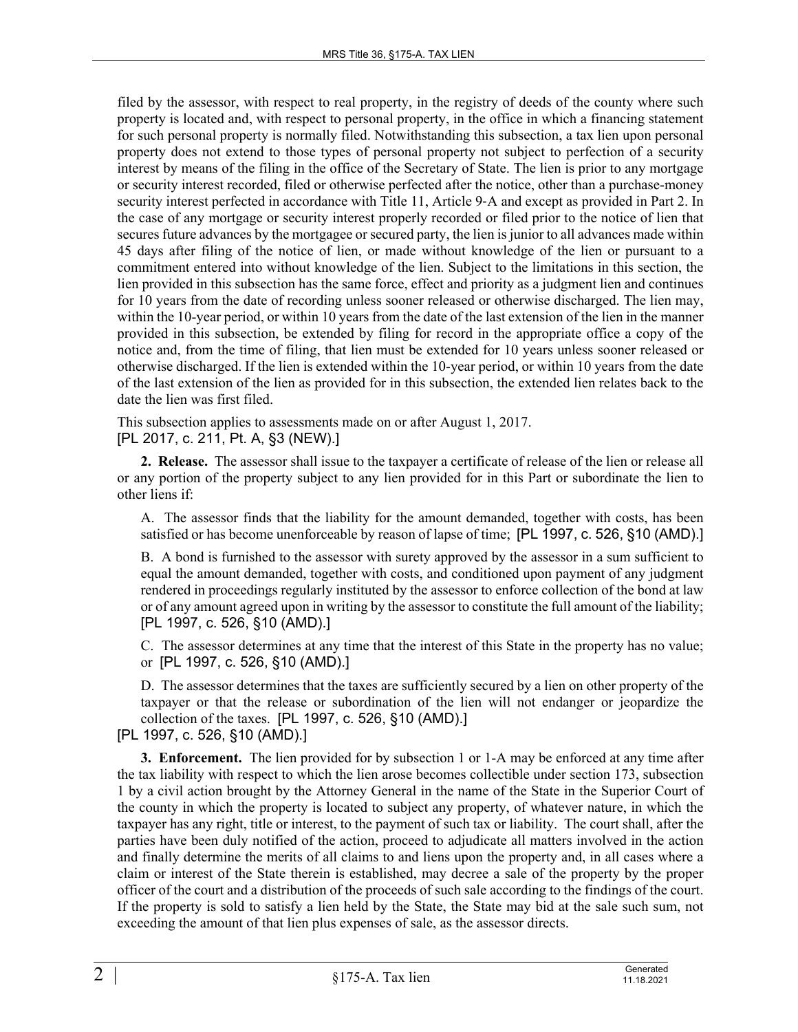filed by the assessor, with respect to real property, in the registry of deeds of the county where such property is located and, with respect to personal property, in the office in which a financing statement for such personal property is normally filed. Notwithstanding this subsection, a tax lien upon personal property does not extend to those types of personal property not subject to perfection of a security interest by means of the filing in the office of the Secretary of State. The lien is prior to any mortgage or security interest recorded, filed or otherwise perfected after the notice, other than a purchase-money security interest perfected in accordance with Title 11, Article 9-A and except as provided in Part 2. In the case of any mortgage or security interest properly recorded or filed prior to the notice of lien that secures future advances by the mortgagee or secured party, the lien is junior to all advances made within 45 days after filing of the notice of lien, or made without knowledge of the lien or pursuant to a commitment entered into without knowledge of the lien. Subject to the limitations in this section, the lien provided in this subsection has the same force, effect and priority as a judgment lien and continues for 10 years from the date of recording unless sooner released or otherwise discharged. The lien may, within the 10-year period, or within 10 years from the date of the last extension of the lien in the manner provided in this subsection, be extended by filing for record in the appropriate office a copy of the notice and, from the time of filing, that lien must be extended for 10 years unless sooner released or otherwise discharged. If the lien is extended within the 10-year period, or within 10 years from the date of the last extension of the lien as provided for in this subsection, the extended lien relates back to the date the lien was first filed.

This subsection applies to assessments made on or after August 1, 2017. [PL 2017, c. 211, Pt. A, §3 (NEW).]

**2. Release.** The assessor shall issue to the taxpayer a certificate of release of the lien or release all or any portion of the property subject to any lien provided for in this Part or subordinate the lien to other liens if:

A. The assessor finds that the liability for the amount demanded, together with costs, has been satisfied or has become unenforceable by reason of lapse of time; [PL 1997, c. 526, §10 (AMD).]

B. A bond is furnished to the assessor with surety approved by the assessor in a sum sufficient to equal the amount demanded, together with costs, and conditioned upon payment of any judgment rendered in proceedings regularly instituted by the assessor to enforce collection of the bond at law or of any amount agreed upon in writing by the assessor to constitute the full amount of the liability; [PL 1997, c. 526, §10 (AMD).]

C. The assessor determines at any time that the interest of this State in the property has no value; or [PL 1997, c. 526, §10 (AMD).]

D. The assessor determines that the taxes are sufficiently secured by a lien on other property of the taxpayer or that the release or subordination of the lien will not endanger or jeopardize the collection of the taxes. [PL 1997, c. 526, §10 (AMD).]

[PL 1997, c. 526, §10 (AMD).]

**3. Enforcement.** The lien provided for by subsection 1 or 1-A may be enforced at any time after the tax liability with respect to which the lien arose becomes collectible under section 173, subsection 1 by a civil action brought by the Attorney General in the name of the State in the Superior Court of the county in which the property is located to subject any property, of whatever nature, in which the taxpayer has any right, title or interest, to the payment of such tax or liability. The court shall, after the parties have been duly notified of the action, proceed to adjudicate all matters involved in the action and finally determine the merits of all claims to and liens upon the property and, in all cases where a claim or interest of the State therein is established, may decree a sale of the property by the proper officer of the court and a distribution of the proceeds of such sale according to the findings of the court. If the property is sold to satisfy a lien held by the State, the State may bid at the sale such sum, not exceeding the amount of that lien plus expenses of sale, as the assessor directs.